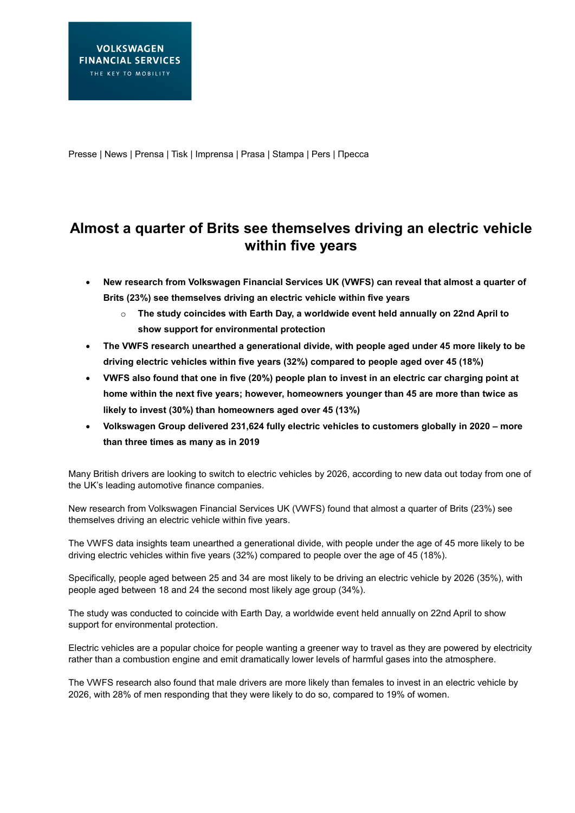Presse | News | Prensa | Tisk | Imprensa | Prasa | Stampa | Pers | Пресса

# **Almost a quarter of Brits see themselves driving an electric vehicle within five years**

- **New research from Volkswagen Financial Services UK (VWFS) can reveal that almost a quarter of Brits (23%) see themselves driving an electric vehicle within five years**
	- o **The study coincides with Earth Day, a worldwide event held annually on 22nd April to show support for environmental protection**
- **The VWFS research unearthed a generational divide, with people aged under 45 more likely to be driving electric vehicles within five years (32%) compared to people aged over 45 (18%)**
- **VWFS also found that one in five (20%) people plan to invest in an electric car charging point at home within the next five years; however, homeowners younger than 45 are more than twice as likely to invest (30%) than homeowners aged over 45 (13%)**
- **Volkswagen Group delivered 231,624 fully electric vehicles to customers globally in 2020 – more than three times as many as in 2019**

Many British drivers are looking to switch to electric vehicles by 2026, according to new data out today from one of the UK's leading automotive finance companies.

New research from Volkswagen Financial Services UK (VWFS) found that almost a quarter of Brits (23%) see themselves driving an electric vehicle within five years.

The VWFS data insights team unearthed a generational divide, with people under the age of 45 more likely to be driving electric vehicles within five years (32%) compared to people over the age of 45 (18%).

Specifically, people aged between 25 and 34 are most likely to be driving an electric vehicle by 2026 (35%), with people aged between 18 and 24 the second most likely age group (34%).

The study was conducted to coincide with Earth Day, a worldwide event held annually on 22nd April to show support for environmental protection.

Electric vehicles are a popular choice for people wanting a greener way to travel as they are powered by electricity rather than a combustion engine and emit dramatically lower levels of harmful gases into the atmosphere.

The VWFS research also found that male drivers are more likely than females to invest in an electric vehicle by 2026, with 28% of men responding that they were likely to do so, compared to 19% of women.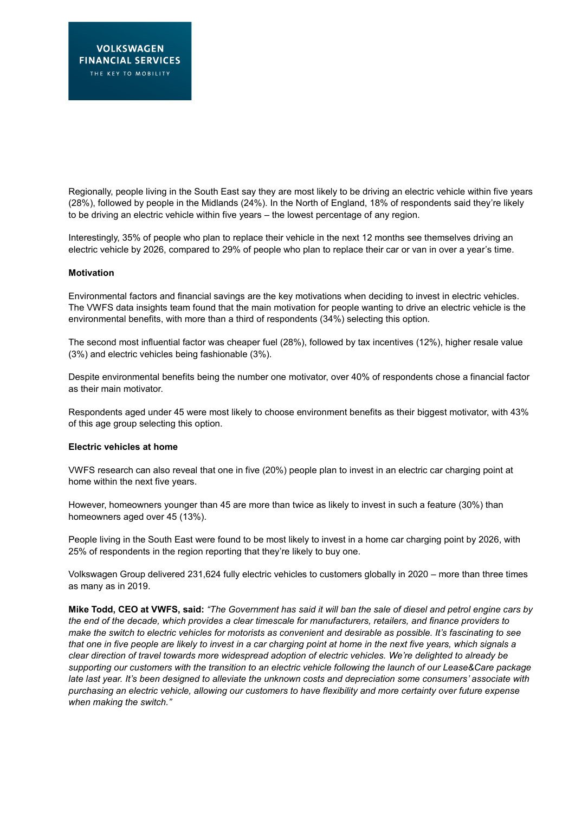Regionally, people living in the South East say they are most likely to be driving an electric vehicle within five years (28%), followed by people in the Midlands (24%). In the North of England, 18% of respondents said they're likely to be driving an electric vehicle within five years – the lowest percentage of any region.

Interestingly, 35% of people who plan to replace their vehicle in the next 12 months see themselves driving an electric vehicle by 2026, compared to 29% of people who plan to replace their car or van in over a year's time.

#### **Motivation**

Environmental factors and financial savings are the key motivations when deciding to invest in electric vehicles. The VWFS data insights team found that the main motivation for people wanting to drive an electric vehicle is the environmental benefits, with more than a third of respondents (34%) selecting this option.

The second most influential factor was cheaper fuel (28%), followed by tax incentives (12%), higher resale value (3%) and electric vehicles being fashionable (3%).

Despite environmental benefits being the number one motivator, over 40% of respondents chose a financial factor as their main motivator.

Respondents aged under 45 were most likely to choose environment benefits as their biggest motivator, with 43% of this age group selecting this option.

## **Electric vehicles at home**

VWFS research can also reveal that one in five (20%) people plan to invest in an electric car charging point at home within the next five years.

However, homeowners younger than 45 are more than twice as likely to invest in such a feature (30%) than homeowners aged over 45 (13%).

People living in the South East were found to be most likely to invest in a home car charging point by 2026, with 25% of respondents in the region reporting that they're likely to buy one.

Volkswagen Group delivered 231,624 fully electric vehicles to customers globally in 2020 – more than three times as many as in 2019.

**Mike Todd, CEO at VWFS, said:** *"The Government has said it will ban the sale of diesel and petrol engine cars by the end of the decade, which provides a clear timescale for manufacturers, retailers, and finance providers to make the switch to electric vehicles for motorists as convenient and desirable as possible. It's fascinating to see that one in five people are likely to invest in a car charging point at home in the next five years, which signals a clear direction of travel towards more widespread adoption of electric vehicles. We're delighted to already be supporting our customers with the transition to an electric vehicle following the launch of our Lease&Care package late last year. It's been designed to alleviate the unknown costs and depreciation some consumers' associate with purchasing an electric vehicle, allowing our customers to have flexibility and more certainty over future expense when making the switch."*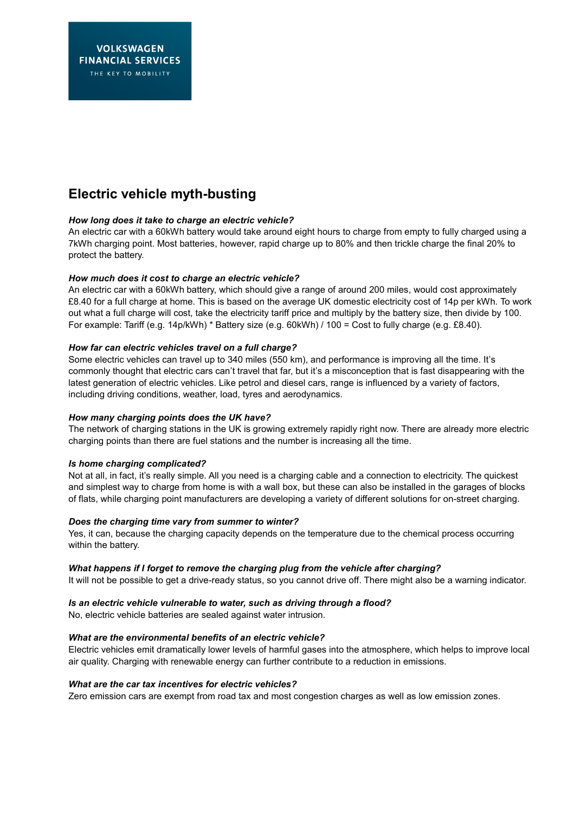# **Electric vehicle myth-busting**

## *How long does it take to charge an electric vehicle?*

An electric car with a 60kWh battery would take around eight hours to charge from empty to fully charged using a 7kWh charging point. Most batteries, however, rapid charge up to 80% and then trickle charge the final 20% to protect the battery.

## *How much does it cost to charge an electric vehicle?*

An electric car with a 60kWh battery, which should give a range of around 200 miles, would cost approximately £8.40 for a full charge at home. This is based on the average UK domestic electricity cost of 14p per kWh. To work out what a full charge will cost, take the electricity tariff price and multiply by the battery size, then divide by 100. For example: Tariff (e.g. 14p/kWh) \* Battery size (e.g. 60kWh) / 100 = Cost to fully charge (e.g. £8.40).

## *How far can electric vehicles travel on a full charge?*

Some electric vehicles can travel up to 340 miles (550 km), and performance is improving all the time. It's commonly thought that electric cars can't travel that far, but it's a misconception that is fast disappearing with the latest generation of electric vehicles. Like petrol and diesel cars, range is influenced by a variety of factors, including driving conditions, weather, load, tyres and aerodynamics.

## *How many charging points does the UK have?*

The network of charging stations in the UK is growing extremely rapidly right now. There are already more electric charging points than there are fuel stations and the number is increasing all the time.

## *Is home charging complicated?*

Not at all, in fact, it's really simple. All you need is a charging cable and a connection to electricity. The quickest and simplest way to charge from home is with a wall box, but these can also be installed in the garages of blocks of flats, while charging point manufacturers are developing a variety of different solutions for on-street charging.

## *Does the charging time vary from summer to winter?*

Yes, it can, because the charging capacity depends on the temperature due to the chemical process occurring within the battery.

## *What happens if I forget to remove the charging plug from the vehicle after charging?*

It will not be possible to get a drive-ready status, so you cannot drive off. There might also be a warning indicator.

## *Is an electric vehicle vulnerable to water, such as driving through a flood?*

No, electric vehicle batteries are sealed against water intrusion.

# *What are the environmental benefits of an electric vehicle?*

Electric vehicles emit dramatically lower levels of harmful gases into the atmosphere, which helps to improve local air quality. Charging with renewable energy can further contribute to a reduction in emissions.

## *What are the car tax incentives for electric vehicles?*

Zero emission cars are exempt from road tax and most congestion charges as well as low emission zones.